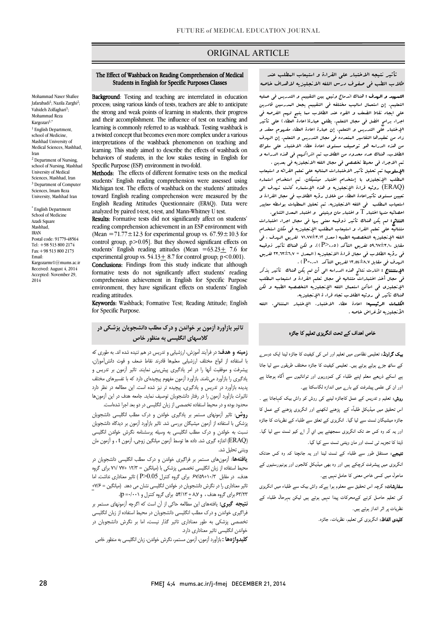# ORIGINAL ARTICLE

 تأثیر نتیجه الاختبار علی القراءة و استیعاب المطلب عند طلاب الطب فی صفوف درس اللغه الانجلیزیه لاهداف خاصه

Ī

ا**لتسهید و الهدف :** هناك اندماج وثیق بین التقییم و التدریس فی عملیه<br>. علی ایجاد نقاط الضعف و القوه عند الطلاب مما یتیح لهم الفرصه فی اجراء برامج افضل فی مجال التعلم. یطلق عبارة(اعادة العطاء) علی تأثیر الإختبار علی التدریس و التعلم. إن عبارة اعادة العطاء مفهوم معقد و من هستوي استويت استدار استان استان استان استان استفاده استفاده استفاده استفاده استفاده استفاده استفاده استفاده<br>من هذه الدراسه هو توصیف مستوی اعادة عطاء الاختبار علی سلوك الطلاب. هناك عدد محدود من الطلاب تم اشراکهم فی هذه الدراسه و تم الاجراء فی محیط تخصصی فی مجال اللغه الانجلیزیه فی بعدین . التعلیم. إن استعمال اسالیب مختلفه فی التقییم یجعل المدرسین قادرین زاد من تعقیدها التفاسیر المتعدده فی مجال التدریس و التعلم. إن الهدف

**الإسلوب:** تم تحلیل تأثیر الاختبارات المتالیه علی تعلم القرائه و استیعاب<br>. (ERAQ (روئیه قراءة الإنجلیزیه و هذه الإستماره کانت تهدف الی تعیین مستوي تأثیراعادة العطاء من خلال رؤیه الطلاب فی مجال القراءة و استعیاب المطلب فی اللغه الانجلیزیه. تم تحلیل المعطیات بواسطه معاییر المطلب الإنجلیزي با إستخدام اختبار میشیکان. تم استخدام استماره احصائیه منها اختبار T و اختبار مان ویتینی و اختبار المعدل الثنایی.

مستقید مترد استبدر 1 و استبدر مان وینتینی و استبدر استقال استایی.<br>النتائج: لم یکن هناك تأثیر ذوقیمه معنی بردا فی مجال اجراء اختبارات متتالیه علی تعلم القراء و استیعاب المطلب الإنجلیزیه فی مکان استخدام اللغه الإنجلیزیه التخصصیه الطبیه (معدل 71,77±3,12 لفریق الهدف ، فی مقابل 59,67±3,10 لفریق التأکد (0,05<P((. و لکن هناك تأثیر ذوقیمه ی<br>ال*هد*ف فی مقابل ۱۳٫۵۱±۱۳٫۵ لفریق التأکد `P=۰٫۰۰۰ ) . فی رؤیه الطلاب فی مجال قراءة الانجلیزیه (المعدل = 23,63±6,7 لفریق

 الإستنتاج : اشارت نتائج هذه الدراسه الی أن لم یکن هناك تأثیر یذکر فی مجال أخذ اختبارات متتالیه فی مجال تعلم القراءة و استیعاب المطلب المستقبلیوت فی اس تاثیر استفاده استقبلینیکی استعفاده<br>هناك تأثیر فی روئیه الطلاب تجاه قراء ة الإنجلیزیه. الإنجلیزي فی اماکن استعمال اللغه الإنجلیزیه التخصصیه الطبیه و لکن

 الکلمات الرئیسیه: اعادة عطاء الاختبار، الإختبار المتتالی، اللغه الأنجلیزیه لأغراض خاصه .

فاص اھداف کے تحت انگریزی تعلیم کا جائزہ

#### Students in English for Specific Purposes Classes I The Effect of Washback on Reading Comprehension of Medical

Ī

 Background: Testing and teaching are interrelated in education the strong and weak points of learning in students, their progress and their accomplishment. The influence of test on teaching and a twisted concept that becomes even more complex under a various interpretations of the washback phenomenon on teaching and learning. This study aimed to describe the effects of washback on Specific Purpose (ESP) environment in two-fold. process; using various kinds of tests, teachers are able to anticipate learning is commonly referred to as washback. Testing washback is behaviors of students, in the low stakes testing in English for

Methods: The effects of different formative tests on the medical Michigan test. The effects of washback on the students' attitudes toward English reading comprehension were measured by the English Reading Attitudes Questionnaire (ERAQ). Data were students' English reading comprehension were assessed using analyzed by paired t-test, t-test, and Mann-Whitney U test.

Results: Formative tests did not significantly affect on students' reading comprehension achievement in an ESP environment with  $(mcaii - \frac{1}{1}, \frac{1}{2}, \frac{1}{2}, \frac{1}{2}, \frac{1}{2})$  for experimental group vs. 0/.39  $\pm$  10.3 for control group, p > 0.05]. But they showed significant effects on students' English reading attitudes (Mean  $=63.23+7.6$  for experimental group vs.  $54.13 \pm 8.7$  for control group;  $p < 0.001$ ). formative tests do not significantly affect students' reading comprehension achievement in English for Specific Purpose environment, they have significant effects on students' English (Mean =71.77 $\pm$ 12.3 for experimental group vs. 67.59 $\pm$ 10.3 for Conclusions: Findings from this study indicate that although reading attitudes.

Keywords: Washback; Formative Test; Reading Attitude; English for Specific Purpose.

# تاثیر بازآورد آزمون بر خواندن و درك مطلب دانشجویان پزشکی در کلاسهاي انگلیسی به منظور خاص

**زمینه و هدف:** در فرآیند آموزش، ارزشیابی و تدریس در هم تنیده شده اند. به طوری که پیشرفت و موفقیت آنها را در امر یادگیري پیشبینی نمایند. تاثیر آزمون بر تدریس و یادگیري را بازآورد مینامند. بازآورد آزمون مفهوم پیچیدهاي دارد که با تفسیرهاي مختلف پدیده بازآورد در تدریس و یادگیري، پیچیده تر نیز شده است. این مطالعه در نظر دارد تاثیرات بازآورد آزمون را در رفتار دانشجویان توصیف نماید. جامعه هدف در این آزمونها محدود بوده و در محیط استفاده تخصصی از زبان انگلیسی در دو بعد اجرا شدهاست. با استفاده از انواع مختلف ارزشیابی معلمها قادرند نقاط ضعف و قوت دانشآموزان،

 روش: تاثیر آزمونهاي مستمر بر یادگیري خواندن و درك مطلب انگلیسی دانشجویان نسبت به خواندن و درك مطلب انگلیسی به وسیله پرسشنامه نگرش خواندن انگلیسی (ERAQ (اندازه گیري شد. داده ها توسط آزمون میانگین زوجی، آزمون t ، و آزمون مان پزشکی با استفاده از آزمون میشیگان بررسی شد. تاثیر بازآورد آزمون بر دیدگاه دانشجویان ویتنی تحلیل شد.

**یافتهها**: آزمونهای مستمر بر فراگیری خواندن و درک مطلب انگلیسی دانشجویان در محیط استفاده از زبان انگلیسی تخصصی پزشکی با (میانگین = 12/3 77+ 71/ براي گروه تاثیر معناداري را در نگرش دانشجویان در خواندن انگلیسی نشان می دهد. (میانگین = +7/6 63/23 براي گروه هدف ، و 8,7 + 54/13 براي گروه کنترل و 0/001= p(. هدف، در مقابل 67/59+10/3 براي گروه کنترل 0.05<P ( تاثیر معناداري نداشت. اما

 نتیجه گیري: یافتههاي این مطالعه حاکی از آن است که اگرچه آزمونهاي مستمر بر فراگیري خواندن و درك مطلب انگلیسی دانشجویان در محیط استفاده از زبان انگلیسی تخصصی پزشکی به طور معناداري تاثیر گذار نیست، اما بر نگرش دانشجویان در خواندن انگلیسی تاثیر معناداري دارد.

کرد.<br>**کلیدواژهها :** بازآورد آزمون، آزمون مستمر، نگرش خواندن، زبان انگلیسی به منظور خاص

**یپک گراونڈ:** تعلیمی نظاموں میں تعلیم اور اس کی کیفیت کا جائزہ لینا ایک دوسر<sub>ے</sub> کے ساتھ جڑے ہوئے ہوتے ہیں۔ تعلیمی کیفیت کا جائزہ مختلف طریقوں سے لیا جاتا ے اسکے ذریعے معلم اپنے طلباء کی کمزوریوں اور توانائیوں سے آگاہ ہوجاتا ہے اور ان کی علمی پیشرفت کے بار<sub>ے</sub> میں اندازہ لگاسکتا ہے۔

**روش:** تعلیم و تدریس کے عمل کاجائزہ لینے کی روش کو واش بیک کہاجاتا ہے ۔ اس تحقیق میں میڈیکل طلبآء کے پڑھنے لکھنے اور انگریزی پڑھنے کے عمل کا <sub>۔</sub><br>جائزہ میشیگان ٹسٹ سے لیا گیا۔ انگریزی کے تعلق سے طلباء کے نظریات کا جائزہ اور یہ کہ وہ کس حد تک انگریزی سمجھتے ہیں اي آر ا<sub>ے</sub> کیو ٹسٹ سے لیا گیا۔ ڈیٹا کا تجزیہ ٹی ٹسٹ اور مان ویٹنی ٹسٹ سے کیا گیا۔

**تیجے:** مستقل طور سے طلباء کے ٹسٹ لینا اور یہ جانچنا کہ وہ کس حدتک ۔<br>انگریزی میں پیشرفت کرچکے ہیں اور وہ بھی میڈیکل کالجوں اور یونیورسٹیوں کے ۔<br>ماحول میں کسی خاص معنی کا حامل نہیں ہے۔

۔<br>**سفارشات:** گرچہ اس تحقیق سے معلوم ہوا ہےکہ واش بیک سے طلباء میں انگریزی ۔<br>کی تعلیم حاصل کرنے کےمحرکات پیدا نہیں ہوتے ہیں لیکن بہرحال طلباء کے ت<br>نظریات پر اثر انداز ہوتے ہیں۔ Ĭ

**کلیدی الفاظ:** انگریزی کی تعلیم، نظریات، جائزہ۔<br>۔

Mohammad Naser Shafiee Jafarabadi<sup>1</sup>; Nazila Zarghi<sup>2</sup>; Vahideh Zolfaghari<sup>3</sup>; Mohammad Reza Kargozari<sup>1,\*</sup> <sup>1</sup> English Department, school of Medicine, Mashhad University of Medical Sciences, Mashhad,

<sup>2</sup> Department of Nursing, school of Nursing, Mashhad University of Medical Sciences, Mashhad, Iran <sup>3</sup> Department of Computer Sciences, Imam Reza University, Mashhad Iran \* English Department School of Medicine Azadi Square Mashhad, IRAN

Postal code: 91779-48564 Tel: +98 513 800 2174 Fax:+98 513 800 2173

Kargozarmr1@mums.ac.ir Received: August 4, 2014 Accepted: November 29,

Email:

2014

Iran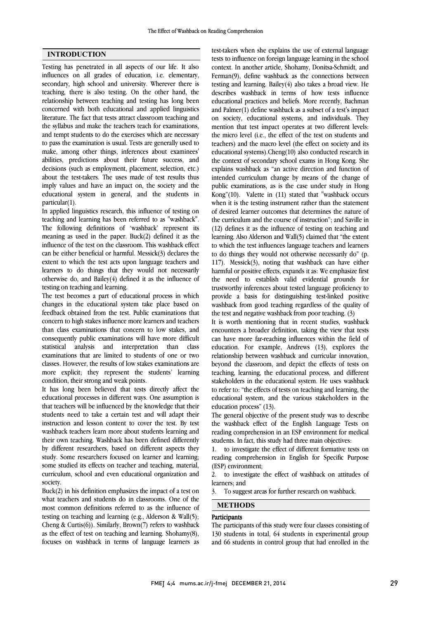## INTRODUCTION

Testing has penetrated in all aspects of our life. It also influences on all grades of education, i.e. elementary, secondary, high school and university. Wherever there is teaching, there is also testing. On the other hand, the relationship between teaching and testing has long been concerned with both educational and applied linguistics literature. The fact that tests attract classroom teaching and the syllabus and make the teachers teach for examinations, and tempt students to do the exercises which are necessary to pass the examination is usual. Tests are generally used to make, among other things, inferences about examinees' abilities, predictions about their future success, and decisions (such as employment, placement, selection, etc.) about the test-takers. The uses made of test results thus imply values and have an impact on, the society and the educational system in general, and the students in particular(1).

In applied linguistics research, this influence of testing on teaching and learning has been referred to as "washback". The following definitions of 'washback' represent its meaning as used in the paper. Buck(2) defined it as the influence of the test on the classroom. This washback effect can be either beneficial or harmful. Messick(3) declares the extent to which the test acts upon language teachers and learners to do things that they would not necessarily otherwise do, and Bailey(4) defined it as the influence of testing on teaching and learning.

The test becomes a part of educational process in which changes in the educational system take place based on feedback obtained from the test. Public examinations that concern to high stakes influence more learners and teachers than class examinations that concern to low stakes, and consequently public examinations will have more difficult statistical analysis and interpretation than class examinations that are limited to students of one or two classes. However, the results of low stakes examinations are more explicit; they represent the students' learning condition, their strong and weak points.

It has long been believed that tests directly affect the educational processes in different ways. One assumption is that teachers will be influenced by the knowledge that their students need to take a certain test and will adapt their instruction and lesson content to cover the test. By test washback teachers learn more about students learning and their own teaching. Washback has been defined differently by different researchers, based on different aspects they study. Some researchers focused on learner and learning; some studied its effects on teacher and teaching, material, curriculum, school and even educational organization and society.

Buck(2) in his definition emphasizes the impact of a test on what teachers and students do in classrooms. One of the most common definitions referred to as the influence of testing on teaching and learning (e.g., Alderson & Wall(5); Cheng & Curtis(6)). Similarly, Brown(7) refers to washback as the effect of test on teaching and learning. Shohamy(8), focuses on washback in terms of language learners as  test-takers when she explains the use of external language tests to influence on foreign language learning in the school context. In another article, Shohamy, Donitsa-Schmidt, and Ferman(9), define washback as the connections between  $\frac{d}{dx}$  describes washback in terms of how tests influence educational practices and beliefs. More recently, Bachman and Palmer(1) define washback as a subset of a test's impact on society, educational systems, and individuals. They the micro level (i.e., the effect of the test on students and teachers) and the macro level (the effect on society and its educational systems).Cheng(10) also conducted research in the context of secondary school exams in Hong Kong. She intended curriculum change by means of the change of public examinations, as is the case under study in Hong Kong"(10). Valette in (11) stated that "washback occurs when it is the testing instrument rather than the statement the curriculum and the course of instruction"; and Saville in (12) defines it as the influence of testing on teaching and learning. Also Alderson and Wall(5) claimed that "the extent to which the test influences language teachers and learners 117). Messick(3), noting that washback can have either harmful or positive effects, expands it as: We emphasize first the need to establish valid evidential grounds for trustworthy inferences about tested language proficiency to washback from good teaching regardless of the quality of the test and negative washback from poor teaching. (3) testing and learning. Bailey(4) also takes a broad view. He mention that test impact operates at two different levels: explains washback as "an active direction and function of of desired learner outcomes that determines the nature of to do things they would not otherwise necessarily do" (p. provide a basis for distinguishing test-linked positive

 It is worth mentioning that in recent studies, washback encounters a broader definition, taking the view that tests education. For example, Andrews (13), explores the relationship between washback and curricular innovation, beyond the classroom, and depict the effects of tests on teaching, learning, the educational process, and different to refer to: "the effects of tests on teaching and learning, the educational system, and the various stakeholders in the education process" (13). can have more far-reaching influences within the field of stakeholders in the educational system. He uses washback

The general objective of the present study was to describe reading comprehension in an ESP environment for medical students. In fact, this study had three main objectives: the washback effect of the English Language Tests on

 1. to investigate the effect of different formative tests on reading comprehension in English for Specific Purpose (ESP) environment;

 2. to investigate the effect of washback on attitudes of learners; and

3. To suggest areas for further research on washback.

## METHODS

# **Participants**

 The participants of this study were four classes consisting of 130 students in total, 64 students in experimental group and 66 students in control group that had enrolled in the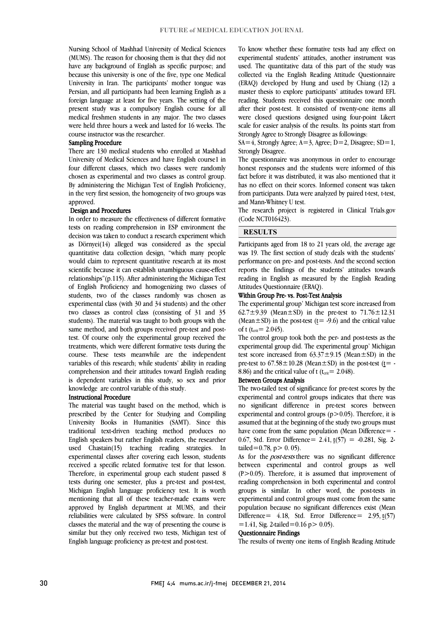Nursing School of Mashhad University of Medical Sciences (MUMS). The reason for choosing them is that they did not have any background of English as specific purpose; and University in Iran. The participants' mother tongue was Persian, and all participants had been learning English as a foreign language at least for five years. The setting of the present study was a compulsory English course for all medical freshmen students in any major. The two classes because this university is one of the five, type one Medical were held three hours a week and lasted for 16 weeks. The course instructor was the researcher.

### Sampling Procedure

 There are 130 medical students who enrolled at Mashhad four different classes, which two classes were randomly chosen as experimental and two classes as control group. By administering the Michigan Test of English Proficiency, in the very first session, the homogeneity of two groups was University of Medical Sciences and have English course1 in approved.

#### Design and Procedures

 In order to measure the effectiveness of different formative tests on reading comprehension in ESP environment the decision was taken to conduct a research experiment which as *bornyci*(14) aneged was considered as the special quantitative data collection design, "which many people would claim to represent quantitative research at its most scientific because it can establish unambiguous cause-effect relationships"(p.115). After administering the Michigan Test students, two of the classes randomly was chosen as experimental class (with 30 and 34 students) and the other two classes as control class (consisting of 31 and 35 students). The material was taught to both groups with the test. Of course only the experimental group received the treatments, which were different formative tests during the course. These tests meanwhile are the independent variables of this research; while students' ability in reading is dependent variables in this study, so sex and prior as Dörnyei(14) alleged was considered as the special of English Proficiency and homogenizing two classes of same method, and both groups received pre-test and postcomprehension and their attitudes toward English reading knowledge are control variable of this study.

#### Instructional Procedure

 The material was taught based on the method, which is University Books in Humanities (SAMT). Since this traditional text-driven teaching method produces no English speakers but rather English readers, the researcher used Chastain(15) teaching reading strategies. In received a specific related formative test for that lesson. Therefore, in experimental group each student passed 8 tests during one semester, plus a pre-test and post-test, Michigan English language proficiency test. It is worth approved by English department at MUMS, and their reliabilities were calculated by SPSS software. In control classes the material and the way of presenting the course is similar but they only received two tests, Michigan test of English language proficiency as pre-test and post-test. prescribed by the Center for Studying and Compiling experimental classes after covering each lesson, students mentioning that all of these teacher-made exams were

 To know whether these formative tests had any effect on experimental students' attitudes, another instrument was used. The quantitative data of this part of the study was (ERAQ) developed by Hung and used by Chiang (12) a master thesis to explore participants' attitudes toward EFL reading. Students received this questionnaire one month after their post-test. It consisted of twenty-one items all were closed questions designed using four-point Likert Strongly Agree to Strongly Disagree as followings: collected via the English Reading Attitude Questionnaire scale for easier analysis of the results. Its points start from

 $SA=4$ , Strongly Agree;  $A=3$ , Agree;  $D=2$ , Disagree;  $SD=1$ , Strongly Disagree.

honest responses and the students were informed of this fact before it was distributed, it was also mentioned that it has no effect on their scores. Informed consent was taken from participants. Data were analyzed by paired t-test, t-test, The questionnaire was anonymous in order to encourage and Mann-Whitney U test.

 The research project is registered in Clinical Trials.gov (Code NCT016423).

> j  $\overline{a}$

## RESULTS

raticipants aged notif to to 21 years ont, the average age<br>was 19. The first section of study deals with the students' performance on pre- and post-tests. And the second section reports the findings of the students' attitudes towards reading in English as measured by the English Reading Participants aged from 18 to 21 years old, the average age Attitudes Questionnaire (ERAQ).

#### Within Group Pre- vs. Post-Test Analysis

 The experimental group' Michigan test score increased from 62.7 $\pm$ 9.39 (Mean $\pm$ SD) in the pre-test to 71.76 $\pm$ 12.31 (Mean  $\pm$  SD) in the post-test ( $t$  = -9.6) and the critical value of t ( $t_{crit}$  = 2.045).

of t (t<sub>ent</sub> – 2.049).<br>The control group took both the per- and post-tests as the experimental group did. The experimental group' Michigan test score increased from  $63.37 \pm 9.15$  (Mean $\pm$ SD) in the pre-test to  $67.58 \pm 10.28$  (Mean $\pm$ SD) in the post-test ( $\underline{t}$ = -8.86) and the critical value of t ( $t_{crit}$  = 2.048).

#### Between Groups Analysis

 The two-tailed test of significance for pre-test scores by the experimental and control groups indicates that there was no significant difference in pre-test scores between  $\alpha$  assumed that at the beginning of the study two groups must have come from the same population (Mean Difference  $=$  -0.67, Std. Error Difference=  $2.41, t(57) = -0.281$ , Sig. 2experimental and control groups  $(p>0.05)$ . Therefore, it is tailed=0.78,  $p > 0.05$ ).

 between experimental and control groups as well (P>0.05). Therefore, it is assumed that improvement of reading comprehension in both experimental and control groups is similar. In other word, the post-tests in population because no significant differences exist (Mean Difference= 4.18, Std. Error Difference= 2.95,  $t(57)$ As for the *post-tests* there was no significant difference experimental and control groups must come from the same  $=1.41$ , Sig. 2-tailed $=0.16$  p $> 0.05$ ).

#### Questionnaire Findings

The results of twenty one items of English Reading Attitude